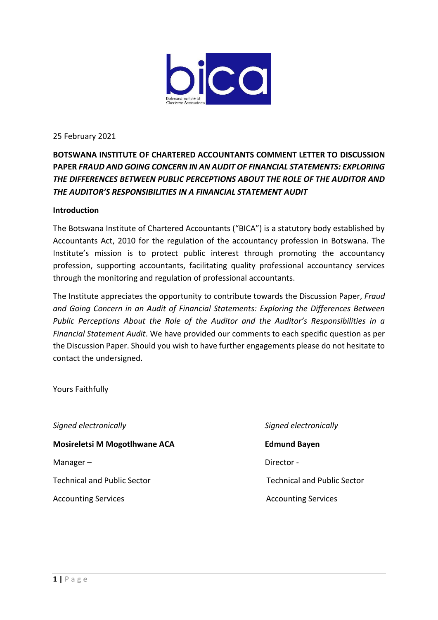

25 February 2021

# **BOTSWANA INSTITUTE OF CHARTERED ACCOUNTANTS COMMENT LETTER TO DISCUSSION PAPER** *FRAUD AND GOING CONCERN IN AN AUDIT OF FINANCIAL STATEMENTS: EXPLORING THE DIFFERENCES BETWEEN PUBLIC PERCEPTIONS ABOUT THE ROLE OF THE AUDITOR AND THE AUDITOR'S RESPONSIBILITIES IN A FINANCIAL STATEMENT AUDIT*

#### **Introduction**

The Botswana Institute of Chartered Accountants ("BICA") is a statutory body established by Accountants Act, 2010 for the regulation of the accountancy profession in Botswana. The Institute's mission is to protect public interest through promoting the accountancy profession, supporting accountants, facilitating quality professional accountancy services through the monitoring and regulation of professional accountants.

The Institute appreciates the opportunity to contribute towards the Discussion Paper, *Fraud and Going Concern in an Audit of Financial Statements: Exploring the Differences Between Public Perceptions About the Role of the Auditor and the Auditor's Responsibilities in a Financial Statement Audit*. We have provided our comments to each specific question as per the Discussion Paper. Should you wish to have further engagements please do not hesitate to contact the undersigned.

Yours Faithfully

*Signed electronically Signed electronically* **Mosireletsi M Mogotlhwane ACA Edmund Bayen** Manager – Director - Director -Technical and Public Sector Technical and Public Sector

Accounting Services **Accounting Services** Accounting Services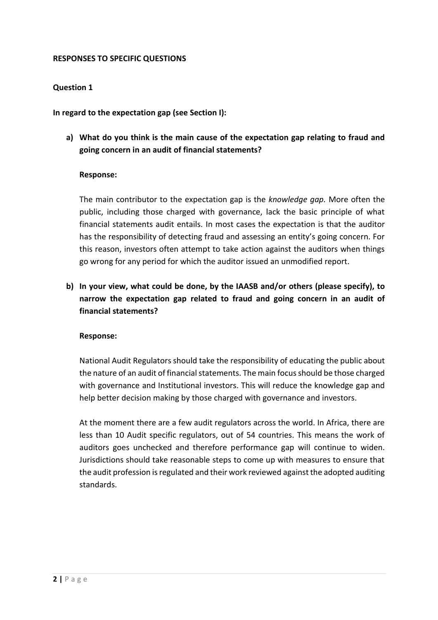#### **RESPONSES TO SPECIFIC QUESTIONS**

#### **Question 1**

**In regard to the expectation gap (see Section I):**

**a) What do you think is the main cause of the expectation gap relating to fraud and going concern in an audit of financial statements?**

#### **Response:**

The main contributor to the expectation gap is the *knowledge gap.* More often the public, including those charged with governance, lack the basic principle of what financial statements audit entails. In most cases the expectation is that the auditor has the responsibility of detecting fraud and assessing an entity's going concern. For this reason, investors often attempt to take action against the auditors when things go wrong for any period for which the auditor issued an unmodified report.

**b) In your view, what could be done, by the IAASB and/or others (please specify), to narrow the expectation gap related to fraud and going concern in an audit of financial statements?**

#### **Response:**

National Audit Regulators should take the responsibility of educating the public about the nature of an audit of financial statements. The main focus should be those charged with governance and Institutional investors. This will reduce the knowledge gap and help better decision making by those charged with governance and investors.

At the moment there are a few audit regulators across the world. In Africa, there are less than 10 Audit specific regulators, out of 54 countries. This means the work of auditors goes unchecked and therefore performance gap will continue to widen. Jurisdictions should take reasonable steps to come up with measures to ensure that the audit profession is regulated and their work reviewed against the adopted auditing standards.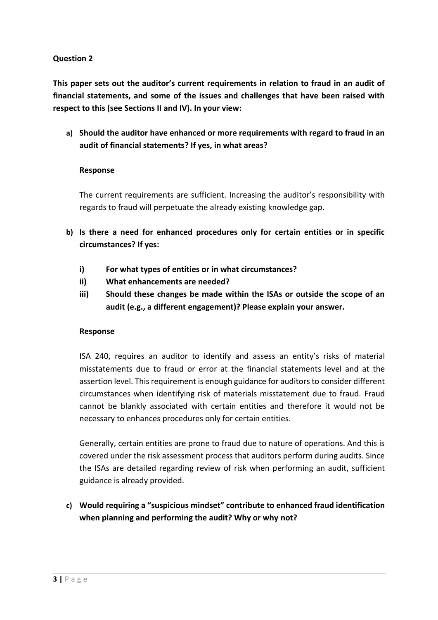## **Question 2**

**This paper sets out the auditor's current requirements in relation to fraud in an audit of financial statements, and some of the issues and challenges that have been raised with respect to this (see Sections II and IV). In your view:** 

**a) Should the auditor have enhanced or more requirements with regard to fraud in an audit of financial statements? If yes, in what areas?**

#### **Response**

The current requirements are sufficient. Increasing the auditor's responsibility with regards to fraud will perpetuate the already existing knowledge gap.

- **b) Is there a need for enhanced procedures only for certain entities or in specific circumstances? If yes:**
	- **i) For what types of entities or in what circumstances?**
	- **ii) What enhancements are needed?**
	- **iii) Should these changes be made within the ISAs or outside the scope of an audit (e.g., a different engagement)? Please explain your answer.**

#### **Response**

ISA 240, requires an auditor to identify and assess an entity's risks of material misstatements due to fraud or error at the financial statements level and at the assertion level. This requirement is enough guidance for auditors to consider different circumstances when identifying risk of materials misstatement due to fraud. Fraud cannot be blankly associated with certain entities and therefore it would not be necessary to enhances procedures only for certain entities.

Generally, certain entities are prone to fraud due to nature of operations. And this is covered under the risk assessment process that auditors perform during audits. Since the ISAs are detailed regarding review of risk when performing an audit, sufficient guidance is already provided.

**c) Would requiring a "suspicious mindset" contribute to enhanced fraud identification when planning and performing the audit? Why or why not?**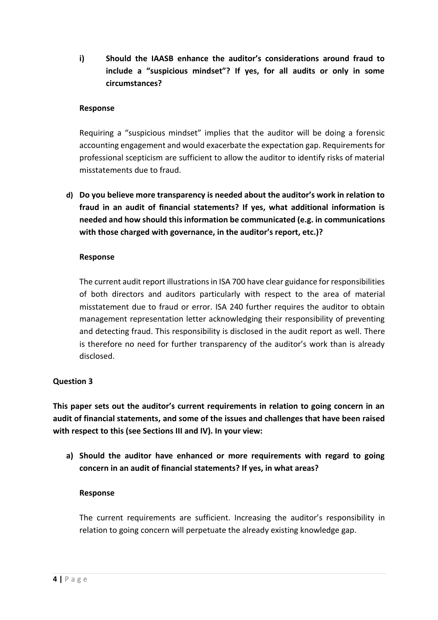**i) Should the IAASB enhance the auditor's considerations around fraud to include a "suspicious mindset"? If yes, for all audits or only in some circumstances?**

### **Response**

Requiring a "suspicious mindset" implies that the auditor will be doing a forensic accounting engagement and would exacerbate the expectation gap. Requirements for professional scepticism are sufficient to allow the auditor to identify risks of material misstatements due to fraud.

**d) Do you believe more transparency is needed about the auditor's work in relation to fraud in an audit of financial statements? If yes, what additional information is needed and how should this information be communicated (e.g. in communications with those charged with governance, in the auditor's report, etc.)?**

### **Response**

The current audit report illustrations in ISA 700 have clear guidance for responsibilities of both directors and auditors particularly with respect to the area of material misstatement due to fraud or error. ISA 240 further requires the auditor to obtain management representation letter acknowledging their responsibility of preventing and detecting fraud. This responsibility is disclosed in the audit report as well. There is therefore no need for further transparency of the auditor's work than is already disclosed.

## **Question 3**

**This paper sets out the auditor's current requirements in relation to going concern in an audit of financial statements, and some of the issues and challenges that have been raised with respect to this (see Sections III and IV). In your view:**

**a) Should the auditor have enhanced or more requirements with regard to going concern in an audit of financial statements? If yes, in what areas?**

#### **Response**

The current requirements are sufficient. Increasing the auditor's responsibility in relation to going concern will perpetuate the already existing knowledge gap.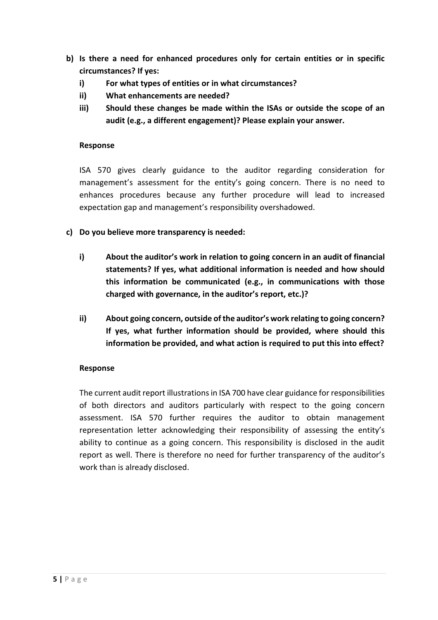- **b) Is there a need for enhanced procedures only for certain entities or in specific circumstances? If yes:**
	- **i) For what types of entities or in what circumstances?**
	- **ii) What enhancements are needed?**
	- **iii) Should these changes be made within the ISAs or outside the scope of an audit (e.g., a different engagement)? Please explain your answer.**

### **Response**

ISA 570 gives clearly guidance to the auditor regarding consideration for management's assessment for the entity's going concern. There is no need to enhances procedures because any further procedure will lead to increased expectation gap and management's responsibility overshadowed.

- **c) Do you believe more transparency is needed:**
	- **i) About the auditor's work in relation to going concern in an audit of financial statements? If yes, what additional information is needed and how should this information be communicated (e.g., in communications with those charged with governance, in the auditor's report, etc.)?**
	- **ii) About going concern, outside of the auditor's work relating to going concern? If yes, what further information should be provided, where should this information be provided, and what action is required to put this into effect?**

## **Response**

The current audit report illustrations in ISA 700 have clear guidance for responsibilities of both directors and auditors particularly with respect to the going concern assessment. ISA 570 further requires the auditor to obtain management representation letter acknowledging their responsibility of assessing the entity's ability to continue as a going concern. This responsibility is disclosed in the audit report as well. There is therefore no need for further transparency of the auditor's work than is already disclosed.